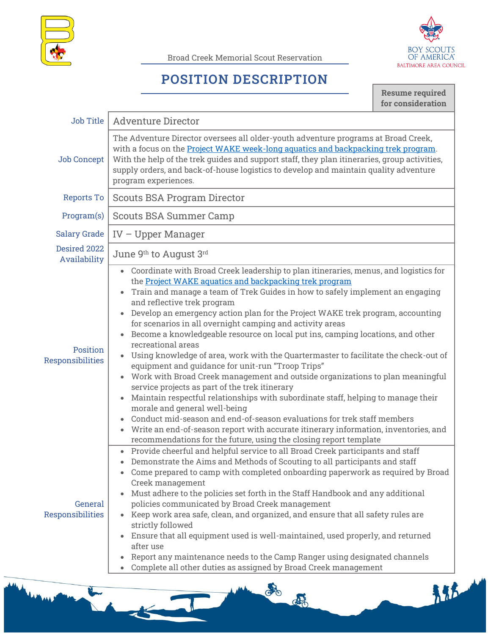

Broad Creek Memorial Scout Reservation



## **POSITION DESCRIPTION**

**Resume required for consideration**

| <b>Job Title</b>             | <b>Adventure Director</b>                                                                                                                                                                                                                                                                                                                                                                                                                                                                                                                                                                                                                                                                                                                                                                                                                                                                                                                                                                                                                                                                                                                                                 |
|------------------------------|---------------------------------------------------------------------------------------------------------------------------------------------------------------------------------------------------------------------------------------------------------------------------------------------------------------------------------------------------------------------------------------------------------------------------------------------------------------------------------------------------------------------------------------------------------------------------------------------------------------------------------------------------------------------------------------------------------------------------------------------------------------------------------------------------------------------------------------------------------------------------------------------------------------------------------------------------------------------------------------------------------------------------------------------------------------------------------------------------------------------------------------------------------------------------|
| <b>Job Concept</b>           | The Adventure Director oversees all older-youth adventure programs at Broad Creek,<br>with a focus on the Project WAKE week-long aquatics and backpacking trek program.<br>With the help of the trek guides and support staff, they plan itineraries, group activities,<br>supply orders, and back-of-house logistics to develop and maintain quality adventure<br>program experiences.                                                                                                                                                                                                                                                                                                                                                                                                                                                                                                                                                                                                                                                                                                                                                                                   |
| <b>Reports To</b>            | <b>Scouts BSA Program Director</b>                                                                                                                                                                                                                                                                                                                                                                                                                                                                                                                                                                                                                                                                                                                                                                                                                                                                                                                                                                                                                                                                                                                                        |
| Program(s)                   | <b>Scouts BSA Summer Camp</b>                                                                                                                                                                                                                                                                                                                                                                                                                                                                                                                                                                                                                                                                                                                                                                                                                                                                                                                                                                                                                                                                                                                                             |
| Salary Grade                 | $IV - Upper Manager$                                                                                                                                                                                                                                                                                                                                                                                                                                                                                                                                                                                                                                                                                                                                                                                                                                                                                                                                                                                                                                                                                                                                                      |
| Desired 2022<br>Availability | June 9th to August 3rd                                                                                                                                                                                                                                                                                                                                                                                                                                                                                                                                                                                                                                                                                                                                                                                                                                                                                                                                                                                                                                                                                                                                                    |
| Position<br>Responsibilities | Coordinate with Broad Creek leadership to plan itineraries, menus, and logistics for<br>the Project WAKE aquatics and backpacking trek program<br>Train and manage a team of Trek Guides in how to safely implement an engaging<br>and reflective trek program<br>• Develop an emergency action plan for the Project WAKE trek program, accounting<br>for scenarios in all overnight camping and activity areas<br>• Become a knowledgeable resource on local put ins, camping locations, and other<br>recreational areas<br>Using knowledge of area, work with the Quartermaster to facilitate the check-out of<br>equipment and guidance for unit-run "Troop Trips"<br>Work with Broad Creek management and outside organizations to plan meaningful<br>service projects as part of the trek itinerary<br>Maintain respectful relationships with subordinate staff, helping to manage their<br>morale and general well-being<br>• Conduct mid-season and end-of-season evaluations for trek staff members<br>• Write an end-of-season report with accurate itinerary information, inventories, and<br>recommendations for the future, using the closing report template |
| General<br>Responsibilities  | • Provide cheerful and helpful service to all Broad Creek participants and staff<br>• Demonstrate the Aims and Methods of Scouting to all participants and staff<br>Come prepared to camp with completed onboarding paperwork as required by Broad<br>Creek management<br>• Must adhere to the policies set forth in the Staff Handbook and any additional<br>policies communicated by Broad Creek management<br>Keep work area safe, clean, and organized, and ensure that all safety rules are<br>strictly followed<br>Ensure that all equipment used is well-maintained, used properly, and returned<br>after use<br>Report any maintenance needs to the Camp Ranger using designated channels<br>Complete all other duties as assigned by Broad Creek management                                                                                                                                                                                                                                                                                                                                                                                                      |

**STATE**